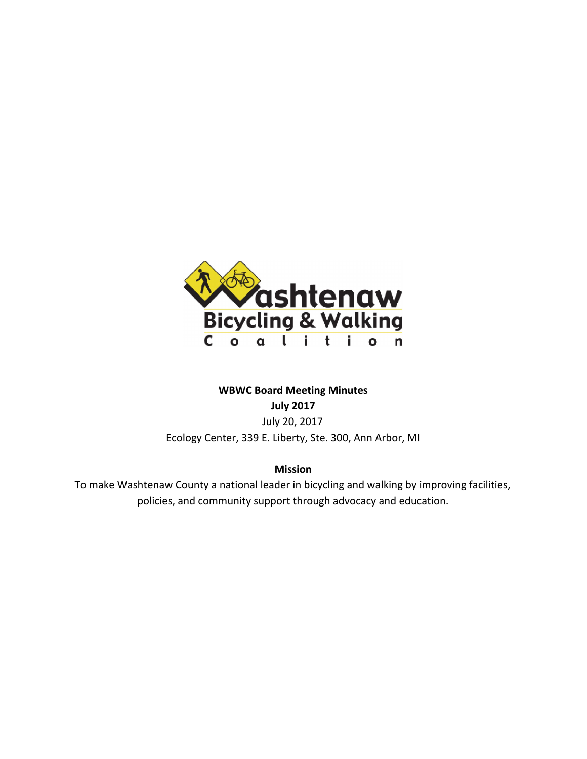

# **WBWC Board Meeting Minutes**

**July 2017**

July 20, 2017 Ecology Center, 339 E. Liberty, Ste. 300, Ann Arbor, MI

**Mission**

To make Washtenaw County a national leader in bicycling and walking by improving facilities, policies, and community support through advocacy and education.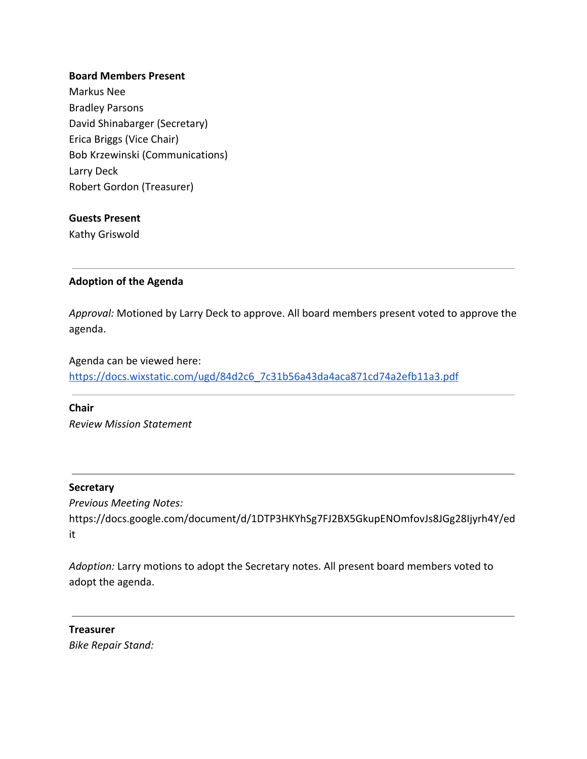### **Board Members Present**

Markus Nee Bradley Parsons David Shinabarger (Secretary) Erica Briggs (Vice Chair) Bob Krzewinski (Communications) Larry Deck Robert Gordon (Treasurer)

#### **Guests Present**

Kathy Griswold

### **Adoption of the Agenda**

*Approval:* Motioned by Larry Deck to approve. All board members present voted to approve the agenda.

Agenda can be viewed here: [https://docs.wixstatic.com/ugd/84d2c6\\_7c31b56a43da4aca871cd74a2efb11a3.pdf](https://docs.wixstatic.com/ugd/84d2c6_7c31b56a43da4aca871cd74a2efb11a3.pdf)

**Chair** *Review Mission Statement*

### **Secretary**

*Previous Meeting Notes:* https://docs.google.com/document/d/1DTP3HKYhSg7FJ2BX5GkupENOmfovJs8JGg28Ijyrh4Y/ed it

*Adoption:* Larry motions to adopt the Secretary notes. All present board members voted to adopt the agenda.

**Treasurer** *Bike Repair Stand:*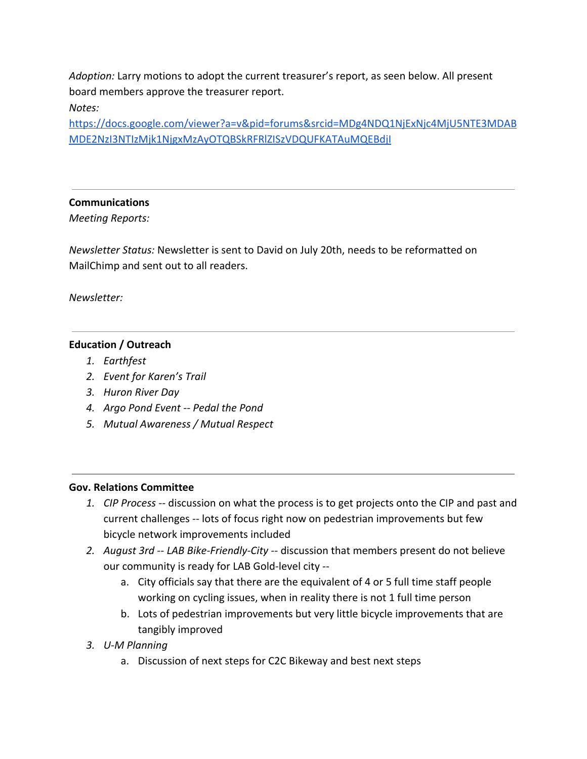*Adoption:* Larry motions to adopt the current treasurer's report, as seen below. All present board members approve the treasurer report.

# *Notes:*

[https://docs.google.com/viewer?a=v&pid=forums&srcid=MDg4NDQ1NjExNjc4MjU5NTE3MDAB](https://docs.google.com/viewer?a=v&pid=forums&srcid=MDg4NDQ1NjExNjc4MjU5NTE3MDABMDE2NzI3NTIzMjk1NjgxMzAyOTQBSkRFRlZISzVDQUFKATAuMQEBdjI) [MDE2NzI3NTIzMjk1NjgxMzAyOTQBSkRFRlZISzVDQUFKATAuMQEBdjI](https://docs.google.com/viewer?a=v&pid=forums&srcid=MDg4NDQ1NjExNjc4MjU5NTE3MDABMDE2NzI3NTIzMjk1NjgxMzAyOTQBSkRFRlZISzVDQUFKATAuMQEBdjI)

# **Communications**

*Meeting Reports:*

*Newsletter Status:* Newsletter is sent to David on July 20th, needs to be reformatted on MailChimp and sent out to all readers.

*Newsletter:*

# **Education / Outreach**

- *1. Earthfest*
- *2. Event for Karen's Trail*
- *3. Huron River Day*
- *4. Argo Pond Event -- Pedal the Pond*
- *5. Mutual Awareness / Mutual Respect*

# **Gov. Relations Committee**

- *1. CIP Process --* discussion on what the process is to get projects onto the CIP and past and current challenges -- lots of focus right now on pedestrian improvements but few bicycle network improvements included
- *2. August 3rd -- LAB Bike-Friendly-City --* discussion that members present do not believe our community is ready for LAB Gold-level city -
	- a. City officials say that there are the equivalent of 4 or 5 full time staff people working on cycling issues, when in reality there is not 1 full time person
	- b. Lots of pedestrian improvements but very little bicycle improvements that are tangibly improved
- *3. U-M Planning*
	- a. Discussion of next steps for C2C Bikeway and best next steps